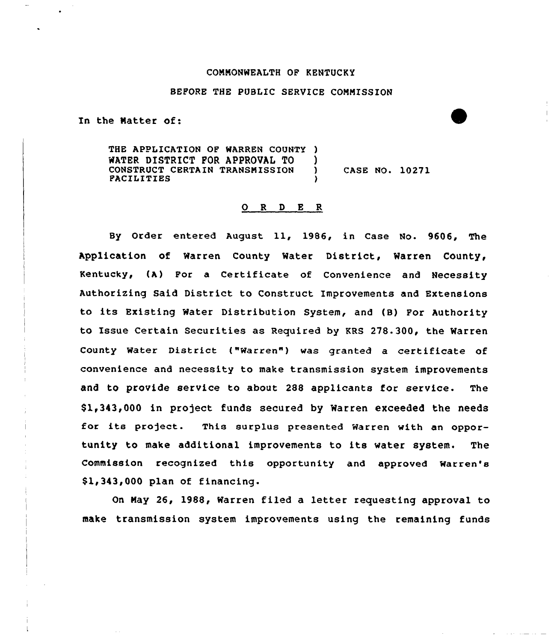# COMNONWEALTH OF KENTUCKY

### BEFORE THE PUBLIC SERVICE CONMISSION

In the Natter of:

THE APPLICATION OF WARREN COUNTY ) WATER DISTRICT FOR APPROVAL TO () CONSTRUCT CERTAIN TRANSMISSION ) CASE NO. 10271 **FACILITIES** 

### 0 <sup>R</sup> <sup>D</sup> E R

By Order entered August ll, 1986, in Case No. 9606, The Application of Warren County Water District, Warren County, Kentucky, (A) Por a Certificate of Convenience and Necessity Authorizing Said District to Construct Improvements and Extensions to its Existing Water Distribution System, and (B) Por Authority to Issue Certain Securities as Required by KRS 278.300, the Warren County Water District ("Warren") was granted a certificate of convenience and necessity to make transmission system improvements and to provide service to about 288 applicants for service. The \$1,343,000 in project funds secured by Warren exceeded the needs for its project. This surplus presented Warren with an opportunity to make additional improvements to its water system. The Commission recognised this opportunity and approved Warren' \$1,343,000 plan of financing.

On Nay 26, 1988, Warren filed a letter requesting approval to make transmission system improvements using the remaining funds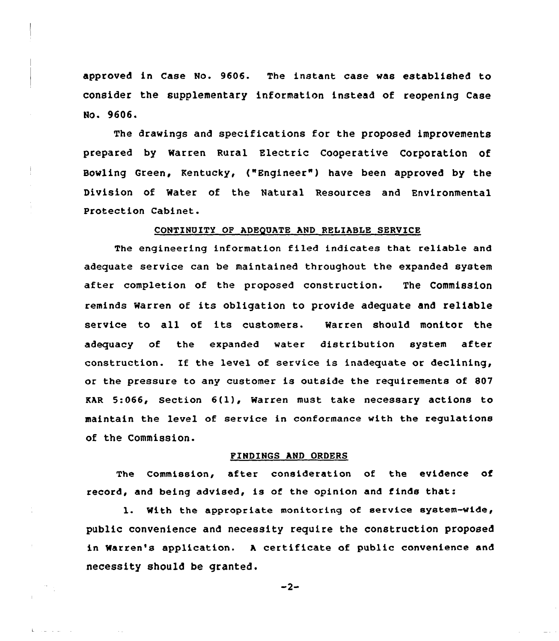approved in Case No. 9606. The instant case was established to consider the supplementary information instead of reopening Case Ho. 9606.

The drawings and specifications for the proposed improvements prepared by Warren Rural Electric cooperative corporation of Bowling Green, Kentucky, {"Engineer") have been approved by the Division of Mater of the Natural Resources and Environmental Protection Cabinet.

## CONTINUITY OP ADEQUATE AND RELIABLE SERVICE

The engineering information filed indicates that reliable and adequate service can be maintained throughout the expanded system after completion of the proposed construction. The Commission reminds Warren of its obligation to provide adequate and reliable service to all of its customers. Warren should monitor the adequacy of the expanded water distribution system after construction. If the level of service is inadequate or declining, or the pressure to any customer is outside the requirements of 807 KAR 5:066, section 6{1), warren must take necessary actions to maintain the level of service in conformance with the regulations of the Commission.

#### FINDINGS AND ORDERS

The Commission, after consideration of the evidence of record, and being advised, is of the opinion and finds that:

1. With the appropriate monitoring of service system-vide, public convenience and necessity require the construction proposed in Warren's application. A certificate of public convenience and necessity should be granted.

$$
-2-
$$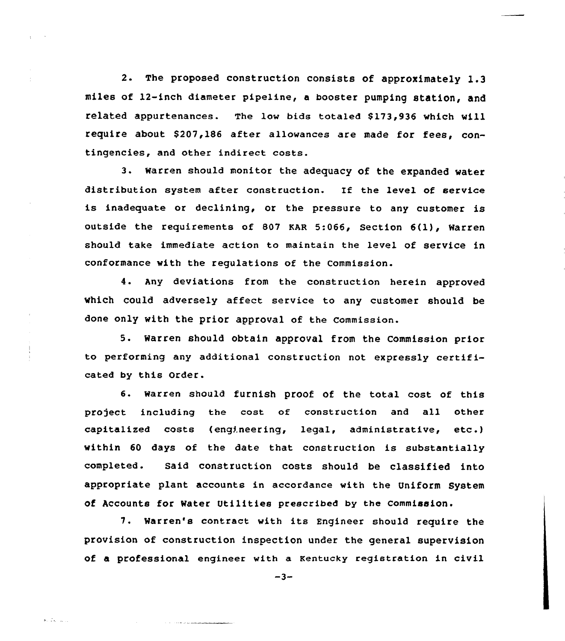2. The proposed construction consists of approximately 1.3 miles of 12-inch diameter pipeline, a booster pumping station, and related appurtenances. The low bids totaled \$173,936 which will require about \$207,186 after allowances are made for fees, contingencies, and other indirect costs.

3. Warren should monitor the adequacy of the expanded water distribution system after construction. If the level of service is inadequate or declining, or the pressure to any customer is outside the requirements of 807 EAR 5:066, Section 6(1), Warren should take immediate action to maintain the level of service in conformance with the regulations of the Commission.

4. Any deviations from the construction herein approved which could adversely affect service to any customer should be done only with the prior approval of the commission.

5. Warren should obtain approval from the Commission prior to performing any additional construction not expressly certificated by this Order.

6. Warren should furnish proof of the total cost of this project including the cost of construction and all other capitalized costs (engineering, legal, administrative, etc .) within <sup>60</sup> days of the date that construction is substantially completed. Said construction costs should be classified into appropriate plant accounts in accordance with the Uniform System of Accounts for Water Utilities prescribed by the Commission.

7. Warren's contract with its Engineer should require the provision of construction inspection under the general supervision of a professional engineer with a Kentucky registration in civil

 $-3-$ 

 $\frac{1}{2} \sum_{i=1}^n \frac{1}{2} \sum_{i=1}^n \frac{1}{2} \sum_{i=1}^n \frac{1}{2} \sum_{i=1}^n \frac{1}{2} \sum_{i=1}^n \frac{1}{2} \sum_{i=1}^n \frac{1}{2} \sum_{i=1}^n \frac{1}{2} \sum_{i=1}^n \frac{1}{2} \sum_{i=1}^n \frac{1}{2} \sum_{i=1}^n \frac{1}{2} \sum_{i=1}^n \frac{1}{2} \sum_{i=1}^n \frac{1}{2} \sum_{i=1}^n \frac{1}{2} \sum_{i=$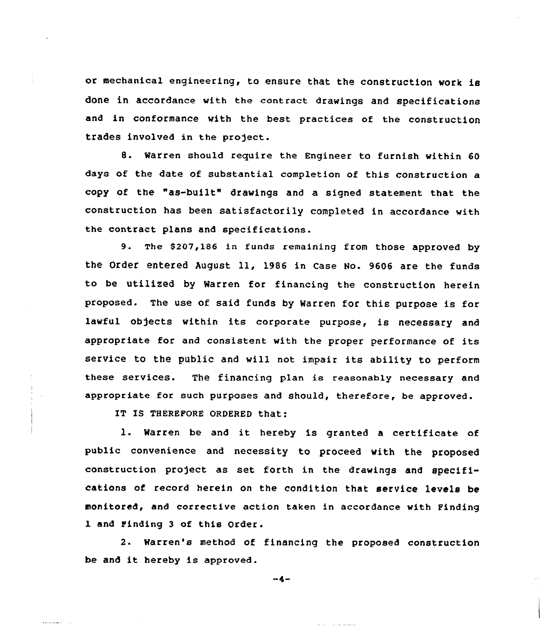or mechanical engineering, to ensure that the construction work is done in accordance with the contract drawings and specifications and in conformance with the best practices of the construction trades involved in the project.

8. Warren should require the Engineer to furnish within 60 days of the date of substantial completion of this construction a copy of the "as-built" drawings and a signed statement that the construction has been satisfactorily completed in accordance with the contract plans and specifications.

9. The \$207,186 in funds remaining from those approved by the Order entered August 11, 1986 in case Ho. 9606 are the funds to be utilized by Warren for financing the construction herein proposed. The use of said funds by Warren for this purpose is for lawful objects within its corporate purpose, is necessary and appropriate for and consistent with the proper performance of its service to the public and will not impair its ability to perform these services. The financing plan is reasonably necessary and appropriate for such purposes and should, therefore, be approved.

IT IS THEREFORE ORDERED that:

رادا أصفحتم

l. Warren be and it hereby is granted <sup>a</sup> certificate of public convenience and necessity to proceed with the proposed construction pro)ect as set forth in the drawings and specifications of record herein on the condition that service levels be monitored, and corrective action taken in accordance with Finding 1 and Finding 3 of this Order.

2. Warren's method of financing the proposed construction be and it hereby is approved.

 $-4-$